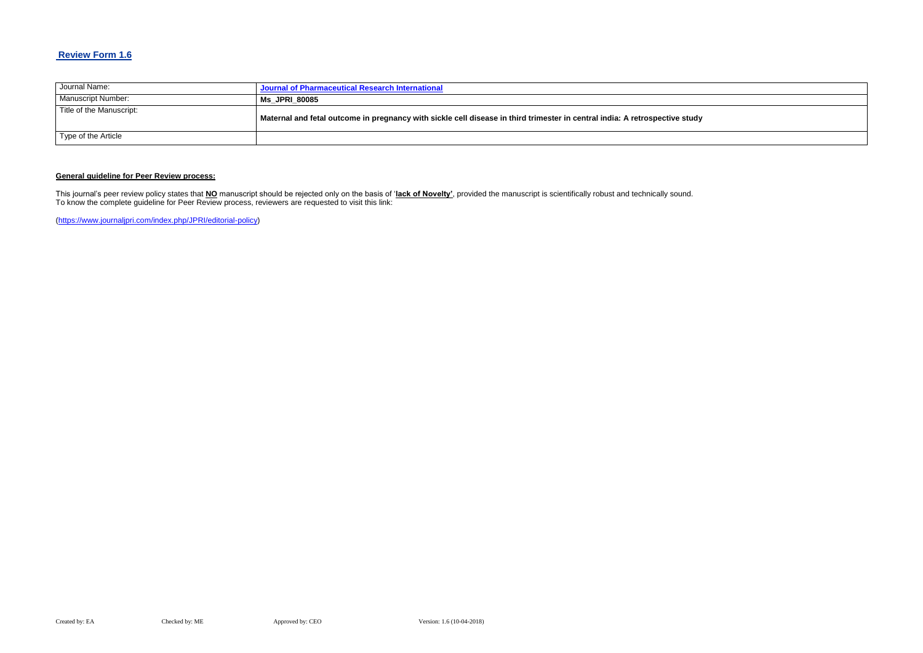## **Review Form 1.6**

| Journal Name:            | Journal of Pharmaceutical Research International                                                                            |
|--------------------------|-----------------------------------------------------------------------------------------------------------------------------|
| Manuscript Number:       | <b>Ms JPRI 80085</b>                                                                                                        |
| Title of the Manuscript: | Maternal and fetal outcome in pregnancy with sickle cell disease in third trimester in central india: A retrospective study |
| Type of the Article      |                                                                                                                             |

### **General guideline for Peer Review process:**

This journal's peer review policy states that **NO** manuscript should be rejected only on the basis of '**lack of Novelty'**, provided the manuscript is scientifically robust and technically sound. To know the complete guideline for Peer Review process, reviewers are requested to visit this link:

[\(https://www.journaljpri.com/index.php/JPRI/editorial-policy\)](https://www.journaljpri.com/index.php/JPRI/editorial-policy)